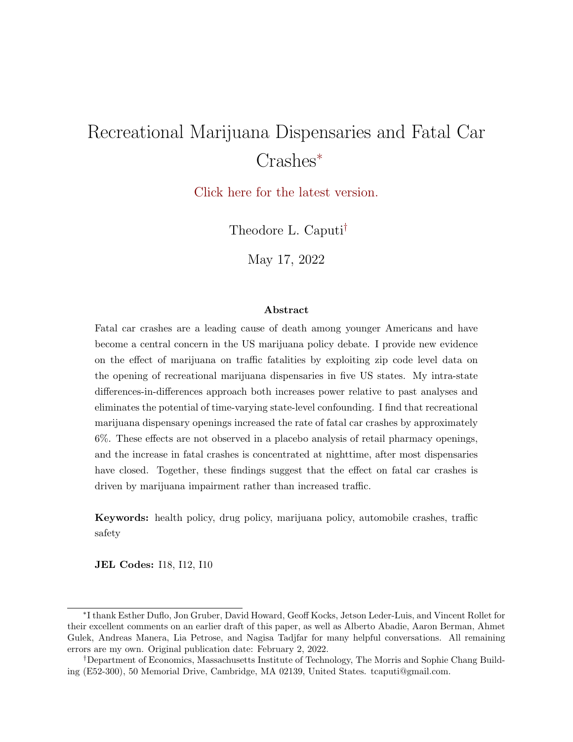# Recreational Marijuana Dispensaries and Fatal Car Crashes<sup>∗</sup>

[Click here for the latest version.](https://www.TheodoreCaputi.com/files/marijuana-crashes.pdf)

Theodore L. Caputi†

May 17, 2022

#### Abstract

Fatal car crashes are a leading cause of death among younger Americans and have become a central concern in the US marijuana policy debate. I provide new evidence on the effect of marijuana on traffic fatalities by exploiting zip code level data on the opening of recreational marijuana dispensaries in five US states. My intra-state differences-in-differences approach both increases power relative to past analyses and eliminates the potential of time-varying state-level confounding. I find that recreational marijuana dispensary openings increased the rate of fatal car crashes by approximately 6%. These effects are not observed in a placebo analysis of retail pharmacy openings, and the increase in fatal crashes is concentrated at nighttime, after most dispensaries have closed. Together, these findings suggest that the effect on fatal car crashes is driven by marijuana impairment rather than increased traffic.

Keywords: health policy, drug policy, marijuana policy, automobile crashes, traffic safety

JEL Codes: I18, I12, I10

<sup>∗</sup> I thank Esther Duflo, Jon Gruber, David Howard, Geoff Kocks, Jetson Leder-Luis, and Vincent Rollet for their excellent comments on an earlier draft of this paper, as well as Alberto Abadie, Aaron Berman, Ahmet Gulek, Andreas Manera, Lia Petrose, and Nagisa Tadjfar for many helpful conversations. All remaining errors are my own. Original publication date: February 2, 2022.

<sup>†</sup>Department of Economics, Massachusetts Institute of Technology, The Morris and Sophie Chang Building (E52-300), 50 Memorial Drive, Cambridge, MA 02139, United States. tcaputi@gmail.com.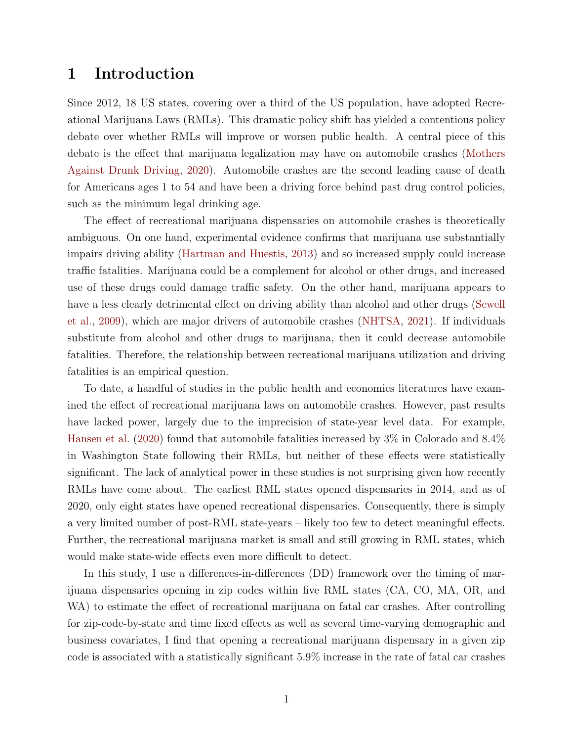### 1 Introduction

Since 2012, 18 US states, covering over a third of the US population, have adopted Recreational Marijuana Laws (RMLs). This dramatic policy shift has yielded a contentious policy debate over whether RMLs will improve or worsen public health. A central piece of this debate is the effect that marijuana legalization may have on automobile crashes [\(Mothers](#page-23-0) [Against Drunk Driving,](#page-23-0) [2020\)](#page-23-0). Automobile crashes are the second leading cause of death for Americans ages 1 to 54 and have been a driving force behind past drug control policies, such as the minimum legal drinking age.

The effect of recreational marijuana dispensaries on automobile crashes is theoretically ambiguous. On one hand, experimental evidence confirms that marijuana use substantially impairs driving ability [\(Hartman and Huestis,](#page-22-0) [2013\)](#page-22-0) and so increased supply could increase traffic fatalities. Marijuana could be a complement for alcohol or other drugs, and increased use of these drugs could damage traffic safety. On the other hand, marijuana appears to have a less clearly detrimental effect on driving ability than alcohol and other drugs [\(Sewell](#page-23-1) [et al.,](#page-23-1) [2009\)](#page-23-1), which are major drivers of automobile crashes [\(NHTSA,](#page-23-2) [2021\)](#page-23-2). If individuals substitute from alcohol and other drugs to marijuana, then it could decrease automobile fatalities. Therefore, the relationship between recreational marijuana utilization and driving fatalities is an empirical question.

To date, a handful of studies in the public health and economics literatures have examined the effect of recreational marijuana laws on automobile crashes. However, past results have lacked power, largely due to the imprecision of state-year level data. For example, [Hansen et al.](#page-22-1) [\(2020\)](#page-22-1) found that automobile fatalities increased by 3% in Colorado and 8.4% in Washington State following their RMLs, but neither of these effects were statistically significant. The lack of analytical power in these studies is not surprising given how recently RMLs have come about. The earliest RML states opened dispensaries in 2014, and as of 2020, only eight states have opened recreational dispensaries. Consequently, there is simply a very limited number of post-RML state-years – likely too few to detect meaningful effects. Further, the recreational marijuana market is small and still growing in RML states, which would make state-wide effects even more difficult to detect.

In this study, I use a differences-in-differences (DD) framework over the timing of marijuana dispensaries opening in zip codes within five RML states (CA, CO, MA, OR, and WA) to estimate the effect of recreational marijuana on fatal car crashes. After controlling for zip-code-by-state and time fixed effects as well as several time-varying demographic and business covariates, I find that opening a recreational marijuana dispensary in a given zip code is associated with a statistically significant 5.9% increase in the rate of fatal car crashes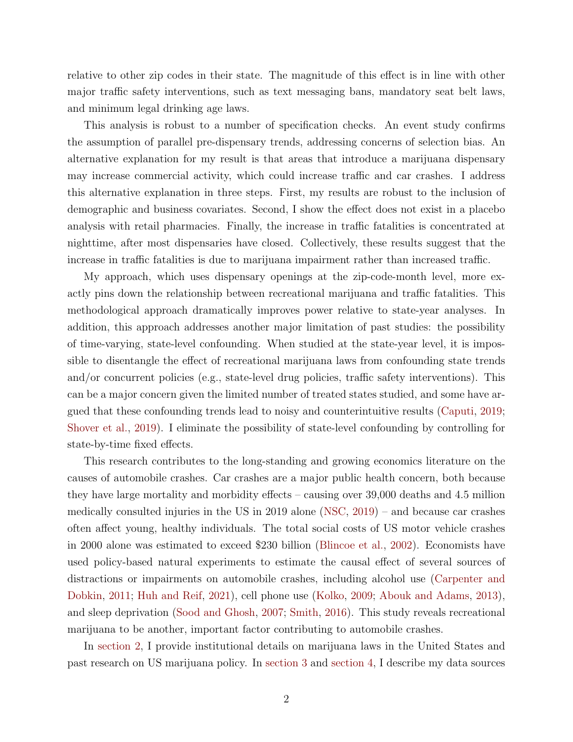relative to other zip codes in their state. The magnitude of this effect is in line with other major traffic safety interventions, such as text messaging bans, mandatory seat belt laws, and minimum legal drinking age laws.

This analysis is robust to a number of specification checks. An event study confirms the assumption of parallel pre-dispensary trends, addressing concerns of selection bias. An alternative explanation for my result is that areas that introduce a marijuana dispensary may increase commercial activity, which could increase traffic and car crashes. I address this alternative explanation in three steps. First, my results are robust to the inclusion of demographic and business covariates. Second, I show the effect does not exist in a placebo analysis with retail pharmacies. Finally, the increase in traffic fatalities is concentrated at nighttime, after most dispensaries have closed. Collectively, these results suggest that the increase in traffic fatalities is due to marijuana impairment rather than increased traffic.

My approach, which uses dispensary openings at the zip-code-month level, more exactly pins down the relationship between recreational marijuana and traffic fatalities. This methodological approach dramatically improves power relative to state-year analyses. In addition, this approach addresses another major limitation of past studies: the possibility of time-varying, state-level confounding. When studied at the state-year level, it is impossible to disentangle the effect of recreational marijuana laws from confounding state trends and/or concurrent policies (e.g., state-level drug policies, traffic safety interventions). This can be a major concern given the limited number of treated states studied, and some have argued that these confounding trends lead to noisy and counterintuitive results [\(Caputi,](#page-21-0) [2019;](#page-21-0) [Shover et al.,](#page-23-3) [2019\)](#page-23-3). I eliminate the possibility of state-level confounding by controlling for state-by-time fixed effects.

This research contributes to the long-standing and growing economics literature on the causes of automobile crashes. Car crashes are a major public health concern, both because they have large mortality and morbidity effects – causing over 39,000 deaths and 4.5 million medically consulted injuries in the US in 2019 alone [\(NSC,](#page-23-4) [2019\)](#page-23-4) – and because car crashes often affect young, healthy individuals. The total social costs of US motor vehicle crashes in 2000 alone was estimated to exceed \$230 billion [\(Blincoe et al.,](#page-21-1) [2002\)](#page-21-1). Economists have used policy-based natural experiments to estimate the causal effect of several sources of distractions or impairments on automobile crashes, including alcohol use [\(Carpenter and](#page-21-2) [Dobkin,](#page-21-2) [2011;](#page-21-2) [Huh and Reif,](#page-22-2) [2021\)](#page-22-2), cell phone use [\(Kolko,](#page-22-3) [2009;](#page-22-3) [Abouk and Adams,](#page-21-3) [2013\)](#page-21-3), and sleep deprivation [\(Sood and Ghosh,](#page-24-0) [2007;](#page-24-0) [Smith,](#page-24-1) [2016\)](#page-24-1). This study reveals recreational marijuana to be another, important factor contributing to automobile crashes.

In [section 2,](#page-3-0) I provide institutional details on marijuana laws in the United States and past research on US marijuana policy. In [section 3](#page-5-0) and [section 4,](#page-7-0) I describe my data sources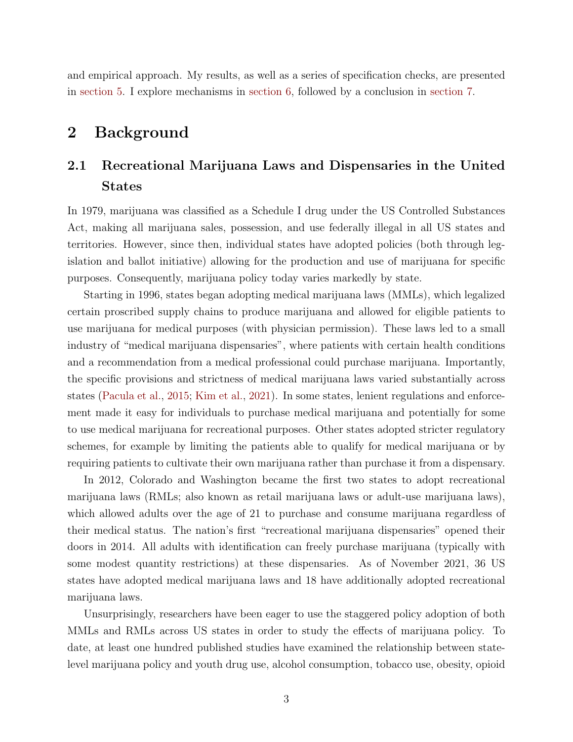and empirical approach. My results, as well as a series of specification checks, are presented in [section 5.](#page-9-0) I explore mechanisms in [section 6,](#page-12-0) followed by a conclusion in [section 7.](#page-13-0)

### <span id="page-3-0"></span>2 Background

### 2.1 Recreational Marijuana Laws and Dispensaries in the United States

In 1979, marijuana was classified as a Schedule I drug under the US Controlled Substances Act, making all marijuana sales, possession, and use federally illegal in all US states and territories. However, since then, individual states have adopted policies (both through legislation and ballot initiative) allowing for the production and use of marijuana for specific purposes. Consequently, marijuana policy today varies markedly by state.

Starting in 1996, states began adopting medical marijuana laws (MMLs), which legalized certain proscribed supply chains to produce marijuana and allowed for eligible patients to use marijuana for medical purposes (with physician permission). These laws led to a small industry of "medical marijuana dispensaries", where patients with certain health conditions and a recommendation from a medical professional could purchase marijuana. Importantly, the specific provisions and strictness of medical marijuana laws varied substantially across states [\(Pacula et al.,](#page-23-5) [2015;](#page-23-5) [Kim et al.,](#page-22-4) [2021\)](#page-22-4). In some states, lenient regulations and enforcement made it easy for individuals to purchase medical marijuana and potentially for some to use medical marijuana for recreational purposes. Other states adopted stricter regulatory schemes, for example by limiting the patients able to qualify for medical marijuana or by requiring patients to cultivate their own marijuana rather than purchase it from a dispensary.

In 2012, Colorado and Washington became the first two states to adopt recreational marijuana laws (RMLs; also known as retail marijuana laws or adult-use marijuana laws), which allowed adults over the age of 21 to purchase and consume marijuana regardless of their medical status. The nation's first "recreational marijuana dispensaries" opened their doors in 2014. All adults with identification can freely purchase marijuana (typically with some modest quantity restrictions) at these dispensaries. As of November 2021, 36 US states have adopted medical marijuana laws and 18 have additionally adopted recreational marijuana laws.

Unsurprisingly, researchers have been eager to use the staggered policy adoption of both MMLs and RMLs across US states in order to study the effects of marijuana policy. To date, at least one hundred published studies have examined the relationship between statelevel marijuana policy and youth drug use, alcohol consumption, tobacco use, obesity, opioid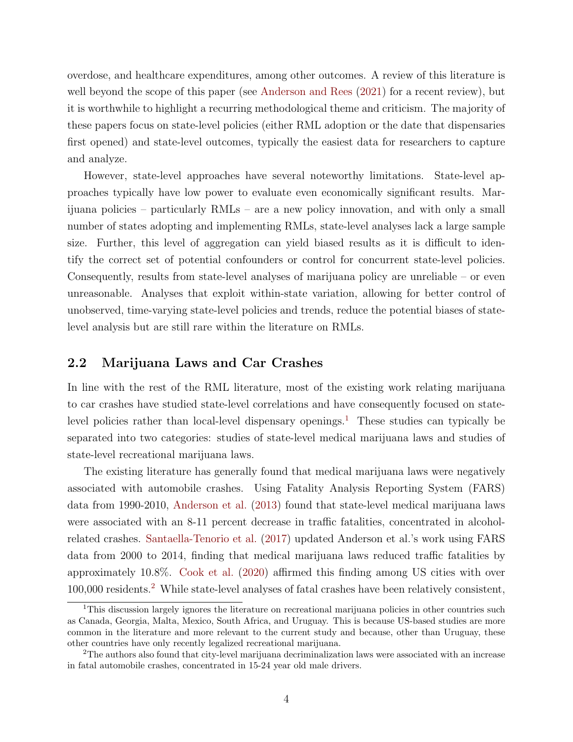overdose, and healthcare expenditures, among other outcomes. A review of this literature is well beyond the scope of this paper (see [Anderson and Rees](#page-21-4) [\(2021\)](#page-21-4) for a recent review), but it is worthwhile to highlight a recurring methodological theme and criticism. The majority of these papers focus on state-level policies (either RML adoption or the date that dispensaries first opened) and state-level outcomes, typically the easiest data for researchers to capture and analyze.

However, state-level approaches have several noteworthy limitations. State-level approaches typically have low power to evaluate even economically significant results. Marijuana policies – particularly RMLs – are a new policy innovation, and with only a small number of states adopting and implementing RMLs, state-level analyses lack a large sample size. Further, this level of aggregation can yield biased results as it is difficult to identify the correct set of potential confounders or control for concurrent state-level policies. Consequently, results from state-level analyses of marijuana policy are unreliable – or even unreasonable. Analyses that exploit within-state variation, allowing for better control of unobserved, time-varying state-level policies and trends, reduce the potential biases of statelevel analysis but are still rare within the literature on RMLs.

#### 2.2 Marijuana Laws and Car Crashes

In line with the rest of the RML literature, most of the existing work relating marijuana to car crashes have studied state-level correlations and have consequently focused on state-level policies rather than local-level dispensary openings.<sup>[1](#page-4-0)</sup> These studies can typically be separated into two categories: studies of state-level medical marijuana laws and studies of state-level recreational marijuana laws.

The existing literature has generally found that medical marijuana laws were negatively associated with automobile crashes. Using Fatality Analysis Reporting System (FARS) data from 1990-2010, [Anderson et al.](#page-21-5) [\(2013\)](#page-21-5) found that state-level medical marijuana laws were associated with an 8-11 percent decrease in traffic fatalities, concentrated in alcoholrelated crashes. [Santaella-Tenorio et al.](#page-23-6) [\(2017\)](#page-23-6) updated Anderson et al.'s work using FARS data from 2000 to 2014, finding that medical marijuana laws reduced traffic fatalities by approximately 10.8%. [Cook et al.](#page-22-5) [\(2020\)](#page-22-5) affirmed this finding among US cities with over 100,000 residents.[2](#page-4-1) While state-level analyses of fatal crashes have been relatively consistent,

<span id="page-4-0"></span><sup>&</sup>lt;sup>1</sup>This discussion largely ignores the literature on recreational marijuana policies in other countries such as Canada, Georgia, Malta, Mexico, South Africa, and Uruguay. This is because US-based studies are more common in the literature and more relevant to the current study and because, other than Uruguay, these other countries have only recently legalized recreational marijuana.

<span id="page-4-1"></span><sup>2</sup>The authors also found that city-level marijuana decriminalization laws were associated with an increase in fatal automobile crashes, concentrated in 15-24 year old male drivers.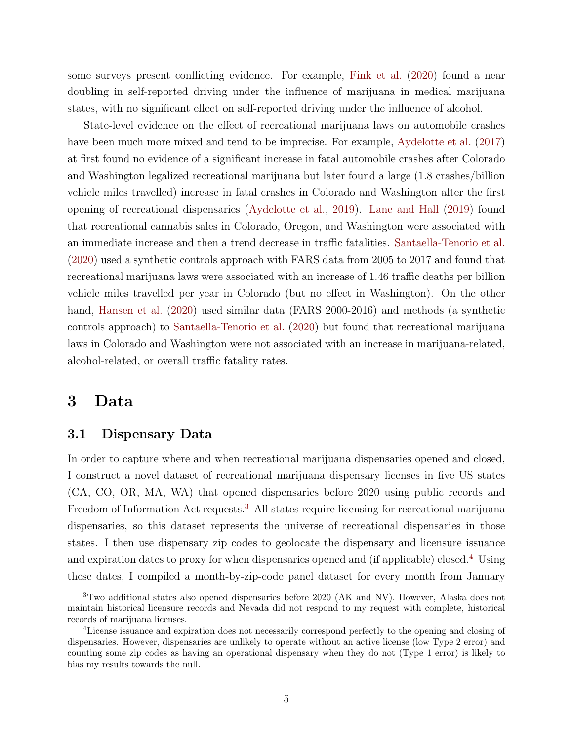some surveys present conflicting evidence. For example, [Fink et al.](#page-22-6) [\(2020\)](#page-22-6) found a near doubling in self-reported driving under the influence of marijuana in medical marijuana states, with no significant effect on self-reported driving under the influence of alcohol.

State-level evidence on the effect of recreational marijuana laws on automobile crashes have been much more mixed and tend to be imprecise. For example, [Aydelotte et al.](#page-21-6) [\(2017\)](#page-21-6) at first found no evidence of a significant increase in fatal automobile crashes after Colorado and Washington legalized recreational marijuana but later found a large (1.8 crashes/billion vehicle miles travelled) increase in fatal crashes in Colorado and Washington after the first opening of recreational dispensaries [\(Aydelotte et al.,](#page-21-7) [2019\)](#page-21-7). [Lane and Hall](#page-22-7) [\(2019\)](#page-22-7) found that recreational cannabis sales in Colorado, Oregon, and Washington were associated with an immediate increase and then a trend decrease in traffic fatalities. [Santaella-Tenorio et al.](#page-23-7) [\(2020\)](#page-23-7) used a synthetic controls approach with FARS data from 2005 to 2017 and found that recreational marijuana laws were associated with an increase of 1.46 traffic deaths per billion vehicle miles travelled per year in Colorado (but no effect in Washington). On the other hand, [Hansen et al.](#page-22-1) [\(2020\)](#page-22-1) used similar data (FARS 2000-2016) and methods (a synthetic controls approach) to [Santaella-Tenorio et al.](#page-23-7) [\(2020\)](#page-23-7) but found that recreational marijuana laws in Colorado and Washington were not associated with an increase in marijuana-related, alcohol-related, or overall traffic fatality rates.

#### <span id="page-5-0"></span>3 Data

#### 3.1 Dispensary Data

In order to capture where and when recreational marijuana dispensaries opened and closed, I construct a novel dataset of recreational marijuana dispensary licenses in five US states (CA, CO, OR, MA, WA) that opened dispensaries before 2020 using public records and Freedom of Information Act requests.<sup>[3](#page-5-1)</sup> All states require licensing for recreational marijuana dispensaries, so this dataset represents the universe of recreational dispensaries in those states. I then use dispensary zip codes to geolocate the dispensary and licensure issuance and expiration dates to proxy for when dispensaries opened and (if applicable) closed.<sup>[4](#page-5-2)</sup> Using these dates, I compiled a month-by-zip-code panel dataset for every month from January

<span id="page-5-1"></span><sup>3</sup>Two additional states also opened dispensaries before 2020 (AK and NV). However, Alaska does not maintain historical licensure records and Nevada did not respond to my request with complete, historical records of marijuana licenses.

<span id="page-5-2"></span><sup>4</sup>License issuance and expiration does not necessarily correspond perfectly to the opening and closing of dispensaries. However, dispensaries are unlikely to operate without an active license (low Type 2 error) and counting some zip codes as having an operational dispensary when they do not (Type 1 error) is likely to bias my results towards the null.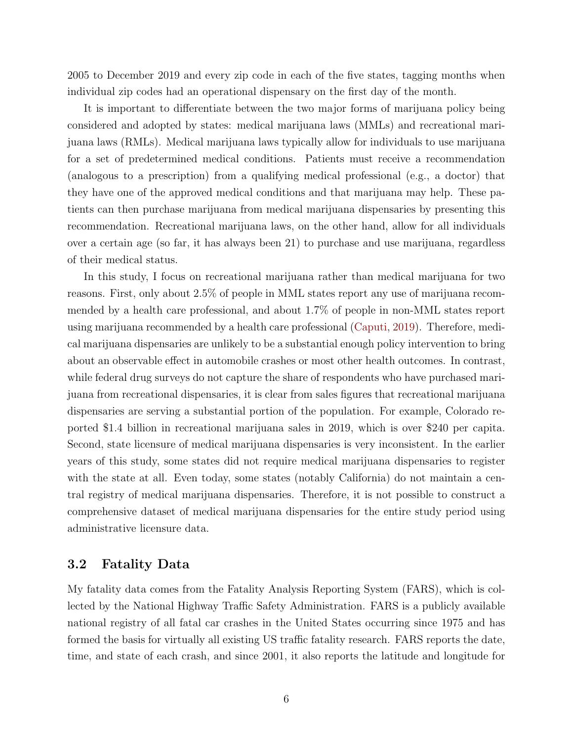2005 to December 2019 and every zip code in each of the five states, tagging months when individual zip codes had an operational dispensary on the first day of the month.

It is important to differentiate between the two major forms of marijuana policy being considered and adopted by states: medical marijuana laws (MMLs) and recreational marijuana laws (RMLs). Medical marijuana laws typically allow for individuals to use marijuana for a set of predetermined medical conditions. Patients must receive a recommendation (analogous to a prescription) from a qualifying medical professional (e.g., a doctor) that they have one of the approved medical conditions and that marijuana may help. These patients can then purchase marijuana from medical marijuana dispensaries by presenting this recommendation. Recreational marijuana laws, on the other hand, allow for all individuals over a certain age (so far, it has always been 21) to purchase and use marijuana, regardless of their medical status.

In this study, I focus on recreational marijuana rather than medical marijuana for two reasons. First, only about 2.5% of people in MML states report any use of marijuana recommended by a health care professional, and about 1.7% of people in non-MML states report using marijuana recommended by a health care professional [\(Caputi,](#page-21-0) [2019\)](#page-21-0). Therefore, medical marijuana dispensaries are unlikely to be a substantial enough policy intervention to bring about an observable effect in automobile crashes or most other health outcomes. In contrast, while federal drug surveys do not capture the share of respondents who have purchased marijuana from recreational dispensaries, it is clear from sales figures that recreational marijuana dispensaries are serving a substantial portion of the population. For example, Colorado reported \$1.4 billion in recreational marijuana sales in 2019, which is over \$240 per capita. Second, state licensure of medical marijuana dispensaries is very inconsistent. In the earlier years of this study, some states did not require medical marijuana dispensaries to register with the state at all. Even today, some states (notably California) do not maintain a central registry of medical marijuana dispensaries. Therefore, it is not possible to construct a comprehensive dataset of medical marijuana dispensaries for the entire study period using administrative licensure data.

#### 3.2 Fatality Data

My fatality data comes from the Fatality Analysis Reporting System (FARS), which is collected by the National Highway Traffic Safety Administration. FARS is a publicly available national registry of all fatal car crashes in the United States occurring since 1975 and has formed the basis for virtually all existing US traffic fatality research. FARS reports the date, time, and state of each crash, and since 2001, it also reports the latitude and longitude for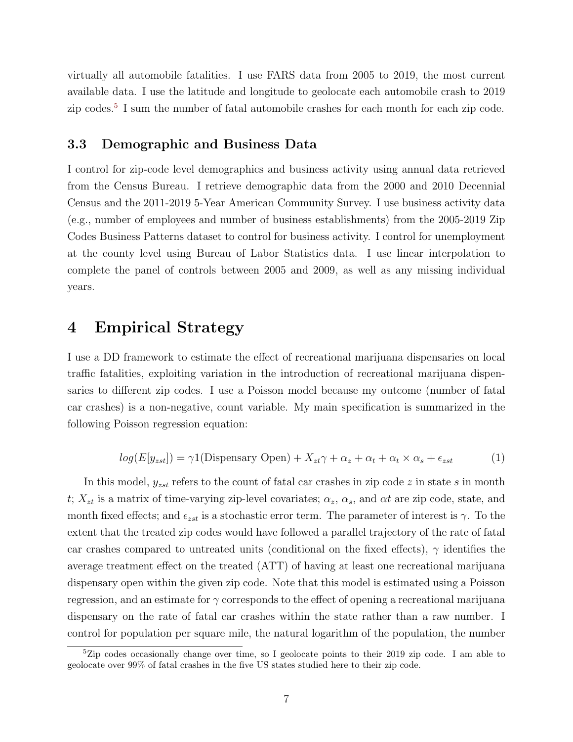virtually all automobile fatalities. I use FARS data from 2005 to 2019, the most current available data. I use the latitude and longitude to geolocate each automobile crash to 2019 zip codes.<sup>[5](#page-7-1)</sup> I sum the number of fatal automobile crashes for each month for each zip code.

#### 3.3 Demographic and Business Data

I control for zip-code level demographics and business activity using annual data retrieved from the Census Bureau. I retrieve demographic data from the 2000 and 2010 Decennial Census and the 2011-2019 5-Year American Community Survey. I use business activity data (e.g., number of employees and number of business establishments) from the 2005-2019 Zip Codes Business Patterns dataset to control for business activity. I control for unemployment at the county level using Bureau of Labor Statistics data. I use linear interpolation to complete the panel of controls between 2005 and 2009, as well as any missing individual years.

### <span id="page-7-0"></span>4 Empirical Strategy

I use a DD framework to estimate the effect of recreational marijuana dispensaries on local traffic fatalities, exploiting variation in the introduction of recreational marijuana dispensaries to different zip codes. I use a Poisson model because my outcome (number of fatal car crashes) is a non-negative, count variable. My main specification is summarized in the following Poisson regression equation:

<span id="page-7-2"></span>
$$
log(E[y_{zst}]) = \gamma 1(\text{Dispensary Open}) + X_{zt}\gamma + \alpha_z + \alpha_t + \alpha_t \times \alpha_s + \epsilon_{zst}
$$
 (1)

In this model,  $y_{zst}$  refers to the count of fatal car crashes in zip code z in state s in month t;  $X_{zt}$  is a matrix of time-varying zip-level covariates;  $\alpha_z$ ,  $\alpha_s$ , and  $\alpha t$  are zip code, state, and month fixed effects; and  $\epsilon_{zst}$  is a stochastic error term. The parameter of interest is  $\gamma$ . To the extent that the treated zip codes would have followed a parallel trajectory of the rate of fatal car crashes compared to untreated units (conditional on the fixed effects),  $\gamma$  identifies the average treatment effect on the treated (ATT) of having at least one recreational marijuana dispensary open within the given zip code. Note that this model is estimated using a Poisson regression, and an estimate for  $\gamma$  corresponds to the effect of opening a recreational marijuana dispensary on the rate of fatal car crashes within the state rather than a raw number. I control for population per square mile, the natural logarithm of the population, the number

<span id="page-7-1"></span><sup>&</sup>lt;sup>5</sup>Zip codes occasionally change over time, so I geolocate points to their 2019 zip code. I am able to geolocate over 99% of fatal crashes in the five US states studied here to their zip code.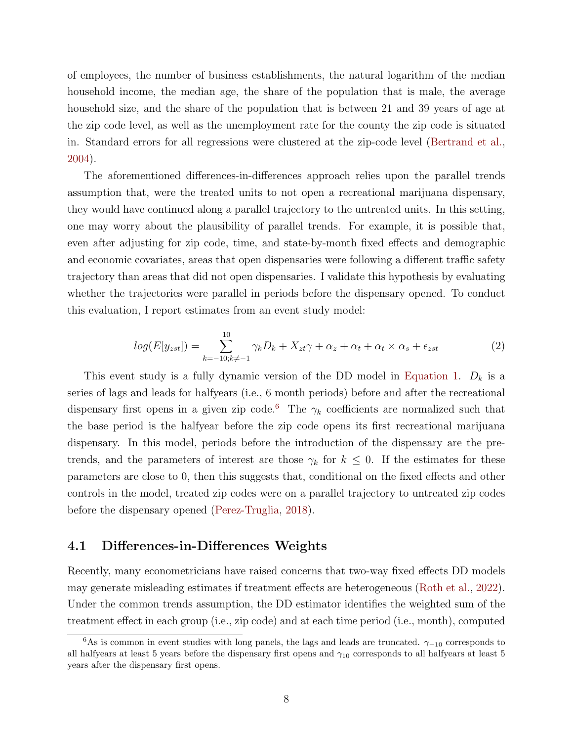of employees, the number of business establishments, the natural logarithm of the median household income, the median age, the share of the population that is male, the average household size, and the share of the population that is between 21 and 39 years of age at the zip code level, as well as the unemployment rate for the county the zip code is situated in. Standard errors for all regressions were clustered at the zip-code level [\(Bertrand et al.,](#page-21-8) [2004\)](#page-21-8).

The aforementioned differences-in-differences approach relies upon the parallel trends assumption that, were the treated units to not open a recreational marijuana dispensary, they would have continued along a parallel trajectory to the untreated units. In this setting, one may worry about the plausibility of parallel trends. For example, it is possible that, even after adjusting for zip code, time, and state-by-month fixed effects and demographic and economic covariates, areas that open dispensaries were following a different traffic safety trajectory than areas that did not open dispensaries. I validate this hypothesis by evaluating whether the trajectories were parallel in periods before the dispensary opened. To conduct this evaluation, I report estimates from an event study model:

<span id="page-8-1"></span>
$$
log(E[y_{zst}]) = \sum_{k=-10; k \neq -1}^{10} \gamma_k D_k + X_{zt}\gamma + \alpha_z + \alpha_t + \alpha_t \times \alpha_s + \epsilon_{zst}
$$
 (2)

This event study is a fully dynamic version of the DD model in [Equation 1.](#page-7-2)  $D_k$  is a series of lags and leads for halfyears (i.e., 6 month periods) before and after the recreational dispensary first opens in a given zip code.<sup>[6](#page-8-0)</sup> The  $\gamma_k$  coefficients are normalized such that the base period is the halfyear before the zip code opens its first recreational marijuana dispensary. In this model, periods before the introduction of the dispensary are the pretrends, and the parameters of interest are those  $\gamma_k$  for  $k \leq 0$ . If the estimates for these parameters are close to 0, then this suggests that, conditional on the fixed effects and other controls in the model, treated zip codes were on a parallel trajectory to untreated zip codes before the dispensary opened [\(Perez-Truglia,](#page-23-8) [2018\)](#page-23-8).

#### 4.1 Differences-in-Differences Weights

Recently, many econometricians have raised concerns that two-way fixed effects DD models may generate misleading estimates if treatment effects are heterogeneous [\(Roth et al.,](#page-23-9) [2022\)](#page-23-9). Under the common trends assumption, the DD estimator identifies the weighted sum of the treatment effect in each group (i.e., zip code) and at each time period (i.e., month), computed

<span id="page-8-0"></span><sup>&</sup>lt;sup>6</sup>As is common in event studies with long panels, the lags and leads are truncated.  $\gamma_{-10}$  corresponds to all halfyears at least 5 years before the dispensary first opens and  $\gamma_{10}$  corresponds to all halfyears at least 5 years after the dispensary first opens.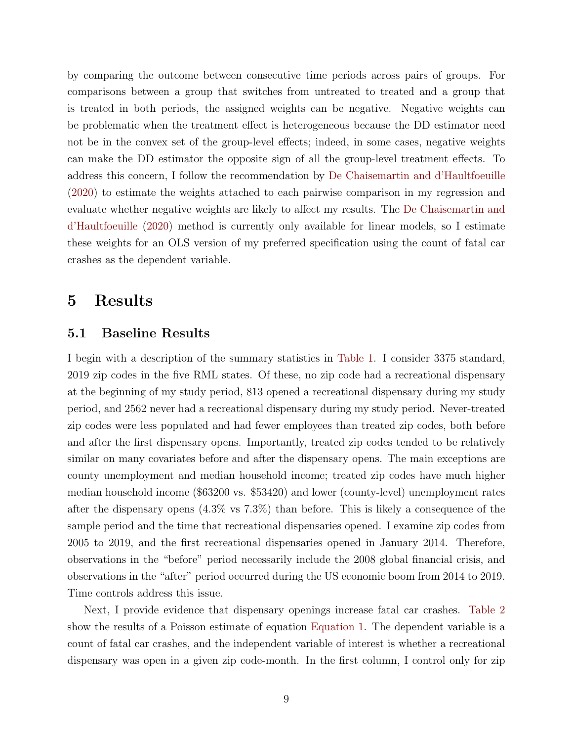by comparing the outcome between consecutive time periods across pairs of groups. For comparisons between a group that switches from untreated to treated and a group that is treated in both periods, the assigned weights can be negative. Negative weights can be problematic when the treatment effect is heterogeneous because the DD estimator need not be in the convex set of the group-level effects; indeed, in some cases, negative weights can make the DD estimator the opposite sign of all the group-level treatment effects. To address this concern, I follow the recommendation by [De Chaisemartin and d'Haultfoeuille](#page-22-8) [\(2020\)](#page-22-8) to estimate the weights attached to each pairwise comparison in my regression and evaluate whether negative weights are likely to affect my results. The [De Chaisemartin and](#page-22-8) [d'Haultfoeuille](#page-22-8) [\(2020\)](#page-22-8) method is currently only available for linear models, so I estimate these weights for an OLS version of my preferred specification using the count of fatal car crashes as the dependent variable.

### <span id="page-9-0"></span>5 Results

#### 5.1 Baseline Results

I begin with a description of the summary statistics in [Table 1.](#page-15-0) I consider 3375 standard, 2019 zip codes in the five RML states. Of these, no zip code had a recreational dispensary at the beginning of my study period, 813 opened a recreational dispensary during my study period, and 2562 never had a recreational dispensary during my study period. Never-treated zip codes were less populated and had fewer employees than treated zip codes, both before and after the first dispensary opens. Importantly, treated zip codes tended to be relatively similar on many covariates before and after the dispensary opens. The main exceptions are county unemployment and median household income; treated zip codes have much higher median household income (\$63200 vs. \$53420) and lower (county-level) unemployment rates after the dispensary opens (4.3% vs 7.3%) than before. This is likely a consequence of the sample period and the time that recreational dispensaries opened. I examine zip codes from 2005 to 2019, and the first recreational dispensaries opened in January 2014. Therefore, observations in the "before" period necessarily include the 2008 global financial crisis, and observations in the "after" period occurred during the US economic boom from 2014 to 2019. Time controls address this issue.

Next, I provide evidence that dispensary openings increase fatal car crashes. [Table 2](#page-16-0) show the results of a Poisson estimate of equation [Equation 1.](#page-7-2) The dependent variable is a count of fatal car crashes, and the independent variable of interest is whether a recreational dispensary was open in a given zip code-month. In the first column, I control only for zip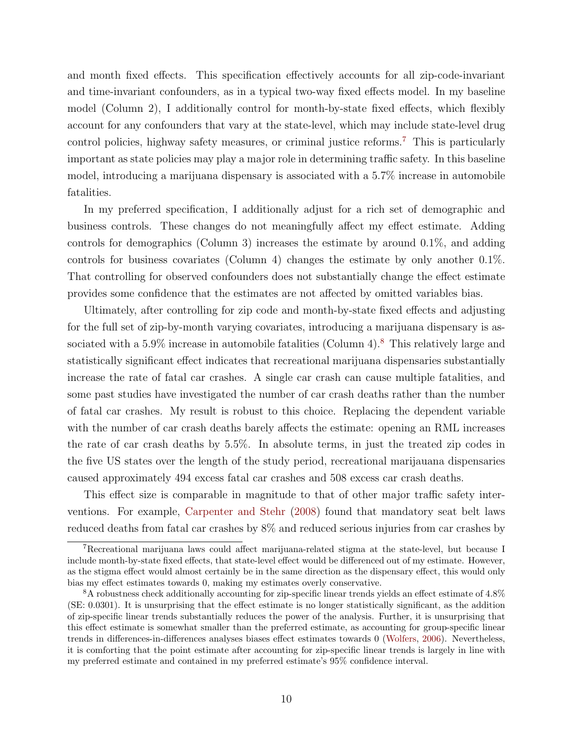and month fixed effects. This specification effectively accounts for all zip-code-invariant and time-invariant confounders, as in a typical two-way fixed effects model. In my baseline model (Column 2), I additionally control for month-by-state fixed effects, which flexibly account for any confounders that vary at the state-level, which may include state-level drug control policies, highway safety measures, or criminal justice reforms.[7](#page-10-0) This is particularly important as state policies may play a major role in determining traffic safety. In this baseline model, introducing a marijuana dispensary is associated with a 5.7% increase in automobile fatalities.

In my preferred specification, I additionally adjust for a rich set of demographic and business controls. These changes do not meaningfully affect my effect estimate. Adding controls for demographics (Column 3) increases the estimate by around 0.1%, and adding controls for business covariates (Column 4) changes the estimate by only another 0.1%. That controlling for observed confounders does not substantially change the effect estimate provides some confidence that the estimates are not affected by omitted variables bias.

Ultimately, after controlling for zip code and month-by-state fixed effects and adjusting for the full set of zip-by-month varying covariates, introducing a marijuana dispensary is associated with a  $5.9\%$  increase in automobile fatalities (Column 4).<sup>[8](#page-10-1)</sup> This relatively large and statistically significant effect indicates that recreational marijuana dispensaries substantially increase the rate of fatal car crashes. A single car crash can cause multiple fatalities, and some past studies have investigated the number of car crash deaths rather than the number of fatal car crashes. My result is robust to this choice. Replacing the dependent variable with the number of car crash deaths barely affects the estimate: opening an RML increases the rate of car crash deaths by 5.5%. In absolute terms, in just the treated zip codes in the five US states over the length of the study period, recreational marijauana dispensaries caused approximately 494 excess fatal car crashes and 508 excess car crash deaths.

This effect size is comparable in magnitude to that of other major traffic safety interventions. For example, [Carpenter and Stehr](#page-22-9) [\(2008\)](#page-22-9) found that mandatory seat belt laws reduced deaths from fatal car crashes by 8% and reduced serious injuries from car crashes by

<span id="page-10-0"></span><sup>&</sup>lt;sup>7</sup>Recreational marijuana laws could affect marijuana-related stigma at the state-level, but because I include month-by-state fixed effects, that state-level effect would be differenced out of my estimate. However, as the stigma effect would almost certainly be in the same direction as the dispensary effect, this would only bias my effect estimates towards 0, making my estimates overly conservative.

<span id="page-10-1"></span><sup>8</sup>A robustness check additionally accounting for zip-specific linear trends yields an effect estimate of 4.8% (SE: 0.0301). It is unsurprising that the effect estimate is no longer statistically significant, as the addition of zip-specific linear trends substantially reduces the power of the analysis. Further, it is unsurprising that this effect estimate is somewhat smaller than the preferred estimate, as accounting for group-specific linear trends in differences-in-differences analyses biases effect estimates towards 0 [\(Wolfers,](#page-24-2) [2006\)](#page-24-2). Nevertheless, it is comforting that the point estimate after accounting for zip-specific linear trends is largely in line with my preferred estimate and contained in my preferred estimate's 95% confidence interval.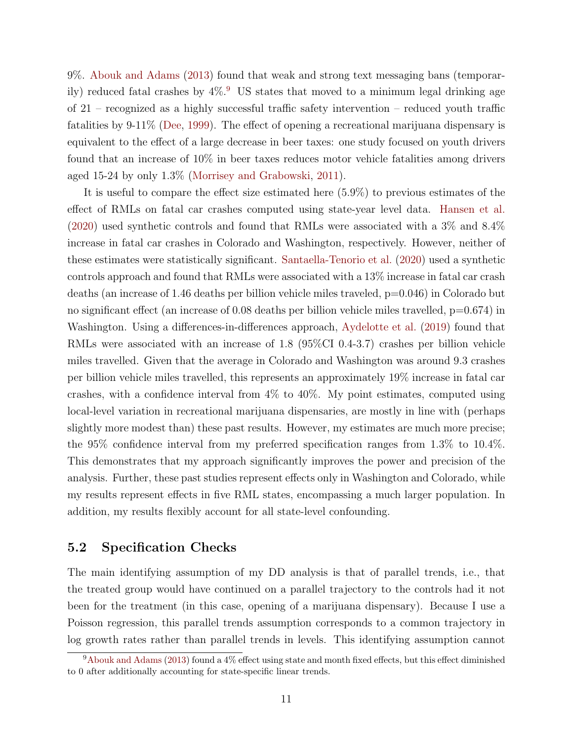9%. [Abouk and Adams](#page-21-3) [\(2013\)](#page-21-3) found that weak and strong text messaging bans (temporarily) reduced fatal crashes by  $4\%$ .<sup>[9](#page-11-0)</sup> US states that moved to a minimum legal drinking age of 21 – recognized as a highly successful traffic safety intervention – reduced youth traffic fatalities by 9-11% [\(Dee,](#page-22-10) [1999\)](#page-22-10). The effect of opening a recreational marijuana dispensary is equivalent to the effect of a large decrease in beer taxes: one study focused on youth drivers found that an increase of 10% in beer taxes reduces motor vehicle fatalities among drivers aged 15-24 by only 1.3% [\(Morrisey and Grabowski,](#page-23-10) [2011\)](#page-23-10).

It is useful to compare the effect size estimated here (5.9%) to previous estimates of the effect of RMLs on fatal car crashes computed using state-year level data. [Hansen et al.](#page-22-1) [\(2020\)](#page-22-1) used synthetic controls and found that RMLs were associated with a 3% and 8.4% increase in fatal car crashes in Colorado and Washington, respectively. However, neither of these estimates were statistically significant. [Santaella-Tenorio et al.](#page-23-7) [\(2020\)](#page-23-7) used a synthetic controls approach and found that RMLs were associated with a 13% increase in fatal car crash deaths (an increase of 1.46 deaths per billion vehicle miles traveled, p=0.046) in Colorado but no significant effect (an increase of 0.08 deaths per billion vehicle miles travelled, p=0.674) in Washington. Using a differences-in-differences approach, [Aydelotte et al.](#page-21-7) [\(2019\)](#page-21-7) found that RMLs were associated with an increase of 1.8 (95%CI 0.4-3.7) crashes per billion vehicle miles travelled. Given that the average in Colorado and Washington was around 9.3 crashes per billion vehicle miles travelled, this represents an approximately 19% increase in fatal car crashes, with a confidence interval from 4% to 40%. My point estimates, computed using local-level variation in recreational marijuana dispensaries, are mostly in line with (perhaps slightly more modest than) these past results. However, my estimates are much more precise; the 95% confidence interval from my preferred specification ranges from 1.3% to 10.4%. This demonstrates that my approach significantly improves the power and precision of the analysis. Further, these past studies represent effects only in Washington and Colorado, while my results represent effects in five RML states, encompassing a much larger population. In addition, my results flexibly account for all state-level confounding.

#### 5.2 Specification Checks

The main identifying assumption of my DD analysis is that of parallel trends, i.e., that the treated group would have continued on a parallel trajectory to the controls had it not been for the treatment (in this case, opening of a marijuana dispensary). Because I use a Poisson regression, this parallel trends assumption corresponds to a common trajectory in log growth rates rather than parallel trends in levels. This identifying assumption cannot

<span id="page-11-0"></span> $9A$ bouk and Adams [\(2013\)](#page-21-3) found a 4% effect using state and month fixed effects, but this effect diminished to 0 after additionally accounting for state-specific linear trends.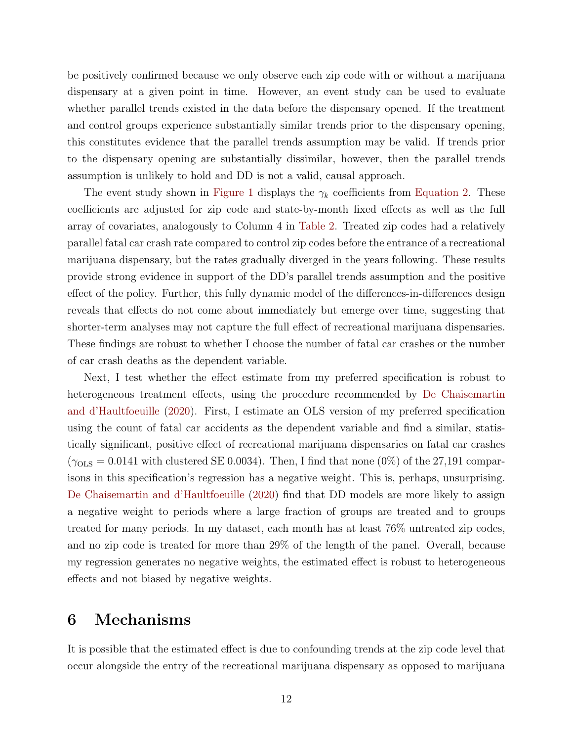be positively confirmed because we only observe each zip code with or without a marijuana dispensary at a given point in time. However, an event study can be used to evaluate whether parallel trends existed in the data before the dispensary opened. If the treatment and control groups experience substantially similar trends prior to the dispensary opening, this constitutes evidence that the parallel trends assumption may be valid. If trends prior to the dispensary opening are substantially dissimilar, however, then the parallel trends assumption is unlikely to hold and DD is not a valid, causal approach.

The event study shown in [Figure 1](#page-18-0) displays the  $\gamma_k$  coefficients from [Equation 2.](#page-8-1) These coefficients are adjusted for zip code and state-by-month fixed effects as well as the full array of covariates, analogously to Column 4 in [Table 2.](#page-16-0) Treated zip codes had a relatively parallel fatal car crash rate compared to control zip codes before the entrance of a recreational marijuana dispensary, but the rates gradually diverged in the years following. These results provide strong evidence in support of the DD's parallel trends assumption and the positive effect of the policy. Further, this fully dynamic model of the differences-in-differences design reveals that effects do not come about immediately but emerge over time, suggesting that shorter-term analyses may not capture the full effect of recreational marijuana dispensaries. These findings are robust to whether I choose the number of fatal car crashes or the number of car crash deaths as the dependent variable.

Next, I test whether the effect estimate from my preferred specification is robust to heterogeneous treatment effects, using the procedure recommended by [De Chaisemartin](#page-22-8) [and d'Haultfoeuille](#page-22-8) [\(2020\)](#page-22-8). First, I estimate an OLS version of my preferred specification using the count of fatal car accidents as the dependent variable and find a similar, statistically significant, positive effect of recreational marijuana dispensaries on fatal car crashes  $(\gamma_{OLS} = 0.0141$  with clustered SE 0.0034). Then, I find that none (0%) of the 27,191 comparisons in this specification's regression has a negative weight. This is, perhaps, unsurprising. [De Chaisemartin and d'Haultfoeuille](#page-22-8) [\(2020\)](#page-22-8) find that DD models are more likely to assign a negative weight to periods where a large fraction of groups are treated and to groups treated for many periods. In my dataset, each month has at least 76% untreated zip codes, and no zip code is treated for more than 29% of the length of the panel. Overall, because my regression generates no negative weights, the estimated effect is robust to heterogeneous effects and not biased by negative weights.

### <span id="page-12-0"></span>6 Mechanisms

It is possible that the estimated effect is due to confounding trends at the zip code level that occur alongside the entry of the recreational marijuana dispensary as opposed to marijuana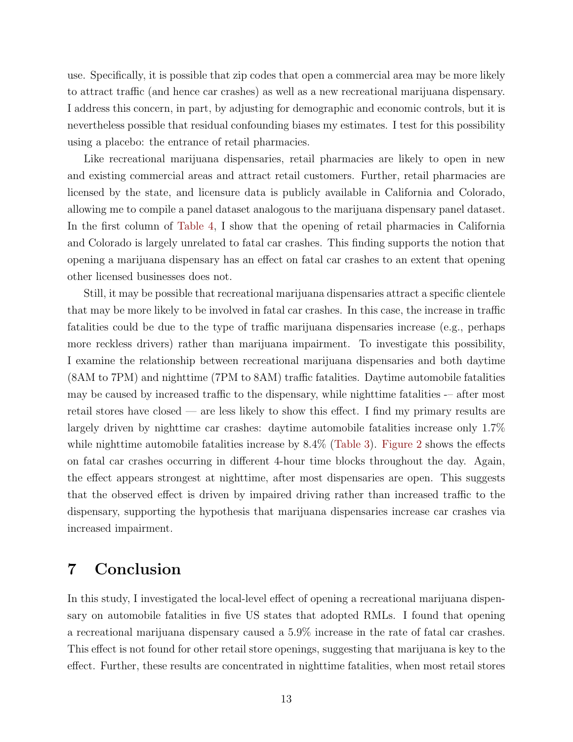use. Specifically, it is possible that zip codes that open a commercial area may be more likely to attract traffic (and hence car crashes) as well as a new recreational marijuana dispensary. I address this concern, in part, by adjusting for demographic and economic controls, but it is nevertheless possible that residual confounding biases my estimates. I test for this possibility using a placebo: the entrance of retail pharmacies.

Like recreational marijuana dispensaries, retail pharmacies are likely to open in new and existing commercial areas and attract retail customers. Further, retail pharmacies are licensed by the state, and licensure data is publicly available in California and Colorado, allowing me to compile a panel dataset analogous to the marijuana dispensary panel dataset. In the first column of [Table 4,](#page-20-0) I show that the opening of retail pharmacies in California and Colorado is largely unrelated to fatal car crashes. This finding supports the notion that opening a marijuana dispensary has an effect on fatal car crashes to an extent that opening other licensed businesses does not.

Still, it may be possible that recreational marijuana dispensaries attract a specific clientele that may be more likely to be involved in fatal car crashes. In this case, the increase in traffic fatalities could be due to the type of traffic marijuana dispensaries increase (e.g., perhaps more reckless drivers) rather than marijuana impairment. To investigate this possibility, I examine the relationship between recreational marijuana dispensaries and both daytime (8AM to 7PM) and nighttime (7PM to 8AM) traffic fatalities. Daytime automobile fatalities may be caused by increased traffic to the dispensary, while nighttime fatalities -– after most retail stores have closed — are less likely to show this effect. I find my primary results are largely driven by nighttime car crashes: daytime automobile fatalities increase only 1.7% while nighttime automobile fatalities increase by  $8.4\%$  [\(Table 3\)](#page-17-0). [Figure 2](#page-19-0) shows the effects on fatal car crashes occurring in different 4-hour time blocks throughout the day. Again, the effect appears strongest at nighttime, after most dispensaries are open. This suggests that the observed effect is driven by impaired driving rather than increased traffic to the dispensary, supporting the hypothesis that marijuana dispensaries increase car crashes via increased impairment.

### <span id="page-13-0"></span>7 Conclusion

In this study, I investigated the local-level effect of opening a recreational marijuana dispensary on automobile fatalities in five US states that adopted RMLs. I found that opening a recreational marijuana dispensary caused a 5.9% increase in the rate of fatal car crashes. This effect is not found for other retail store openings, suggesting that marijuana is key to the effect. Further, these results are concentrated in nighttime fatalities, when most retail stores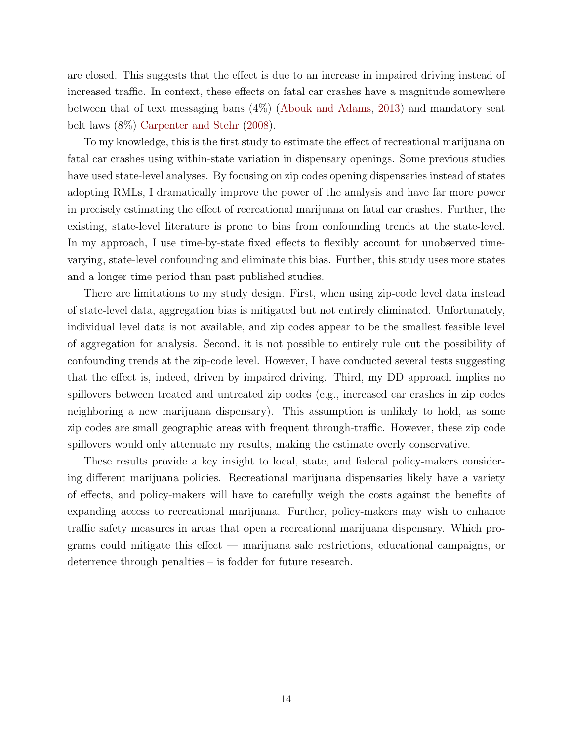are closed. This suggests that the effect is due to an increase in impaired driving instead of increased traffic. In context, these effects on fatal car crashes have a magnitude somewhere between that of text messaging bans (4%) [\(Abouk and Adams,](#page-21-3) [2013\)](#page-21-3) and mandatory seat belt laws (8%) [Carpenter and Stehr](#page-22-9) [\(2008\)](#page-22-9).

To my knowledge, this is the first study to estimate the effect of recreational marijuana on fatal car crashes using within-state variation in dispensary openings. Some previous studies have used state-level analyses. By focusing on zip codes opening dispensaries instead of states adopting RMLs, I dramatically improve the power of the analysis and have far more power in precisely estimating the effect of recreational marijuana on fatal car crashes. Further, the existing, state-level literature is prone to bias from confounding trends at the state-level. In my approach, I use time-by-state fixed effects to flexibly account for unobserved timevarying, state-level confounding and eliminate this bias. Further, this study uses more states and a longer time period than past published studies.

There are limitations to my study design. First, when using zip-code level data instead of state-level data, aggregation bias is mitigated but not entirely eliminated. Unfortunately, individual level data is not available, and zip codes appear to be the smallest feasible level of aggregation for analysis. Second, it is not possible to entirely rule out the possibility of confounding trends at the zip-code level. However, I have conducted several tests suggesting that the effect is, indeed, driven by impaired driving. Third, my DD approach implies no spillovers between treated and untreated zip codes (e.g., increased car crashes in zip codes neighboring a new marijuana dispensary). This assumption is unlikely to hold, as some zip codes are small geographic areas with frequent through-traffic. However, these zip code spillovers would only attenuate my results, making the estimate overly conservative.

These results provide a key insight to local, state, and federal policy-makers considering different marijuana policies. Recreational marijuana dispensaries likely have a variety of effects, and policy-makers will have to carefully weigh the costs against the benefits of expanding access to recreational marijuana. Further, policy-makers may wish to enhance traffic safety measures in areas that open a recreational marijuana dispensary. Which programs could mitigate this effect — marijuana sale restrictions, educational campaigns, or deterrence through penalties – is fodder for future research.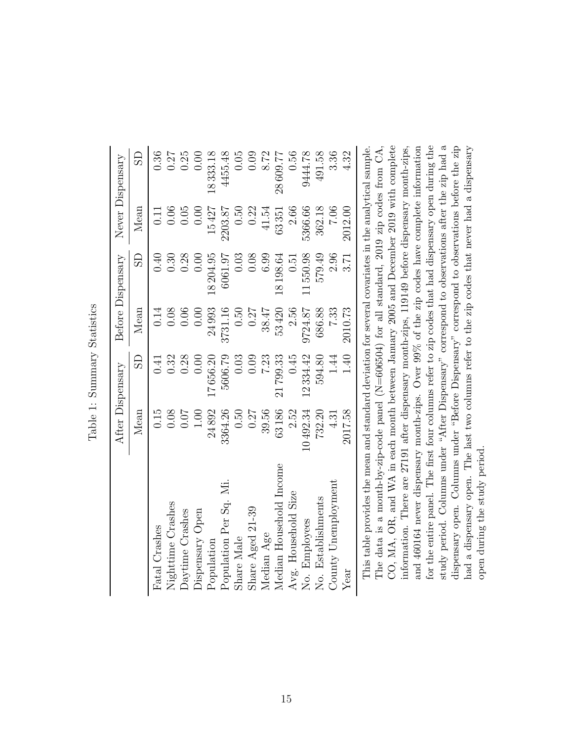|                         |          | After Dispensary |         | Before Dispensary       |         | Never Dispensary        |
|-------------------------|----------|------------------|---------|-------------------------|---------|-------------------------|
|                         | Mean     | GS               | Mean    | $\overline{\mathrm{S}}$ | Mean    | $\overline{\mathrm{S}}$ |
| Fatal Crashes           | 0.15     | 0.41             | 0.14    | 0.40                    | 0.11    | 0.36                    |
| Nighttime Crashes       | 0.08     | 0.32             | 0.08    | 0.30                    | 0.06    | 0.27                    |
| Daytime Crashes         | 0.07     | 0.28             | 0.06    | 0.28                    | 0.05    | 0.25                    |
| Dispensary Open         | 00.1     | 0.00             | 0.00    | 0.00                    | 0.00    | 0.00                    |
| Population              | 24892    | 17656.20         | 24993   | 18204.95                | 15427   | 18333.18                |
| Population Per Sq. Mi.  | 3364.26  | 5606.79          | 3731.16 | 6061.97                 | 2203.87 | 4455.48                 |
| Share Male              | 0.50     | 0.03             | 0.50    | 0.03                    | 0.50    | 0.05                    |
| Share Aged 21-39        | 0.27     | 0.09             | 0.27    | 0.08                    | 0.22    | 0.09                    |
| Median Age              | 39.56    | 7.23             | 38.47   | $6.99\,$                | 41.54   | 8.72                    |
| Median Household Income | 63186    | 799.33           | 53420   | 18198.64                | 63351   | 28609.77                |
| Avg. Household Size     | 2.52     | 0.45             | 2.56    | 0.51                    | 2.66    | 0.56                    |
| No. Employees           | 10492.34 | 12334.42         | 9724.87 | 1550.98                 | 5366.66 | 9444.78                 |
| No. Establishments      | 732.20   | 594.80           | 686.88  | 579.49                  | 362.18  | 491.58                  |
| County Unemployment     | 4.31     | 1.44             | 7.33    | 2.96                    | 7.06    | 3.36                    |
| Year                    | 2017.58  | 1.40             | 2010.73 | 3.71                    | 2012.00 | 4.32                    |
|                         |          |                  |         |                         |         |                         |

<span id="page-15-0"></span>Table 1: Summary Statistics Table 1: Summary Statistics

study period. Columns under "After Dispensary" correspond to observations after the zip had a CO, MA, OR, and WA in each month between January 2005 and December 2019 with complete and 460164 never dispensary month-zips. Over 99% of the zip codes have complete information for the entire panel. The first four columns refer to zip codes that had dispensary open during the study period. Columns under "After Dispensary" correspond to observations after the zip had a This table provides the mean and standard deviation for several covariates in the analytical sample. information. There are 27191 after dispensary month-zips, 119149 before dispensary month-zips, dispensary open. Columns under "Before Dispensary" correspond to observations before the zip had a dispensary open. The last two columns refer to the zip codes that never had a dispensary The data is a month-by-zip-code panel (N=606504) for all standard, 2019 zip codes from  $CA$ , The data is a month-by-zip-code panel (N=606504) for all standard, 2019 zip codes from CA, CO, MA, OR, and WA in each month between January 2005 and December 2019 with complete information. There are 27191 after dispensary month-zips, 119149 before dispensary month-zips, and 460164 never dispensary month-zips. Over 99% of the zip codes have complete information for the entire panel. The first four columns refer to zip codes that had dispensary open during the dispensary open. Columns under "Before Dispensary" correspond to observations before the zip had a dispensary open. The last two columns refer to the zip codes that never had a dispensary This table provides the mean and standard deviation for several covariates in the analytical sample. open during the study period. open during the study period.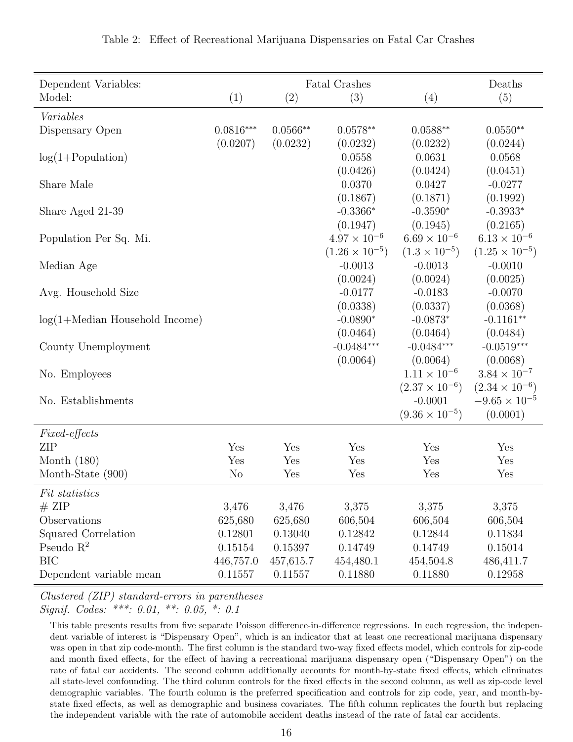<span id="page-16-0"></span>

| Dependent Variables:             |                |            | <b>Fatal Crashes</b>    |                                      | Deaths                                            |
|----------------------------------|----------------|------------|-------------------------|--------------------------------------|---------------------------------------------------|
| Model:                           | (1)            | (2)        | (3)                     | (4)                                  | (5)                                               |
| Variables                        |                |            |                         |                                      |                                                   |
| Dispensary Open                  | $0.0816***$    | $0.0566**$ | $0.0578**$              | $0.0588**$                           | $0.0550**$                                        |
|                                  | (0.0207)       | (0.0232)   | (0.0232)                | (0.0232)                             | (0.0244)                                          |
| $log(1+Population)$              |                |            | 0.0558                  | 0.0631                               | 0.0568                                            |
|                                  |                |            | (0.0426)                | (0.0424)                             | (0.0451)                                          |
| Share Male                       |                |            | 0.0370                  | 0.0427                               | $-0.0277$                                         |
|                                  |                |            | (0.1867)                | (0.1871)                             | (0.1992)                                          |
| Share Aged 21-39                 |                |            | $-0.3366*$              | $-0.3590*$                           | $-0.3933*$                                        |
|                                  |                |            | (0.1947)                | (0.1945)                             | (0.2165)                                          |
| Population Per Sq. Mi.           |                |            | $4.97 \times 10^{-6}$   | $6.69 \times 10^{-6}$                | $6.13 \times 10^{-6}$                             |
|                                  |                |            | $(1.26 \times 10^{-5})$ | $(1.3 \times 10^{-5})$               | $(1.25 \times 10^{-5})$                           |
| Median Age                       |                |            | $-0.0013$               | $-0.0013$                            | $-0.0010$                                         |
|                                  |                |            | (0.0024)                | (0.0024)                             | (0.0025)                                          |
| Avg. Household Size              |                |            | $-0.0177$               | $-0.0183$                            | $-0.0070$                                         |
|                                  |                |            | (0.0338)                | (0.0337)                             | (0.0368)                                          |
| $log(1+Median$ Household Income) |                |            | $-0.0890*$              | $-0.0873*$                           | $-0.1161**$                                       |
|                                  |                |            | (0.0464)                | (0.0464)                             | (0.0484)                                          |
| County Unemployment              |                |            | $-0.0484***$            | $-0.0484***$                         | $-0.0519***$                                      |
|                                  |                |            | (0.0064)                |                                      |                                                   |
|                                  |                |            |                         | (0.0064)<br>$1.11 \times 10^{-6}$    | (0.0068)<br>$3.84 \times 10^{-7}$                 |
| No. Employees                    |                |            |                         |                                      |                                                   |
| No. Establishments               |                |            |                         | $(2.37 \times 10^{-6})$<br>$-0.0001$ | $(2.34 \times 10^{-6})$<br>$-9.65 \times 10^{-5}$ |
|                                  |                |            |                         |                                      |                                                   |
|                                  |                |            |                         | $(9.36 \times 10^{-5})$              | (0.0001)                                          |
| Fixed-effects                    |                |            |                         |                                      |                                                   |
| <b>ZIP</b>                       | Yes            | Yes        | Yes                     | Yes                                  | Yes                                               |
| Month $(180)$                    | Yes            | Yes        | Yes                     | Yes                                  | Yes                                               |
| Month-State (900)                | N <sub>o</sub> | Yes        | Yes                     | Yes                                  | Yes                                               |
| <i>Fit statistics</i>            |                |            |                         |                                      |                                                   |
| # ZIP                            | 3,476          | 3,476      | 3,375                   | 3,375                                | 3,375                                             |
| Observations                     | 625,680        | 625,680    | 606,504                 | 606,504                              | 606,504                                           |
| Squared Correlation              | 0.12801        | 0.13040    | 0.12842                 | 0.12844                              | 0.11834                                           |
| Pseudo $R^2$                     | 0.15154        | 0.15397    | 0.14749                 | 0.14749                              | 0.15014                                           |
| <b>BIC</b>                       | 446,757.0      | 457,615.7  | 454,480.1               | 454,504.8                            | 486,411.7                                         |
| Dependent variable mean          | 0.11557        | 0.11557    | 0.11880                 | 0.11880                              | 0.12958                                           |

|  |  |  | Table 2: Effect of Recreational Marijuana Dispensaries on Fatal Car Crashes |  |  |  |  |  |  |  |  |  |
|--|--|--|-----------------------------------------------------------------------------|--|--|--|--|--|--|--|--|--|
|--|--|--|-----------------------------------------------------------------------------|--|--|--|--|--|--|--|--|--|

Clustered (ZIP) standard-errors in parentheses

Signif. Codes: \*\*\*: 0.01, \*\*: 0.05, \*: 0.1

This table presents results from five separate Poisson difference-in-difference regressions. In each regression, the independent variable of interest is "Dispensary Open", which is an indicator that at least one recreational marijuana dispensary was open in that zip code-month. The first column is the standard two-way fixed effects model, which controls for zip-code and month fixed effects, for the effect of having a recreational marijuana dispensary open ("Dispensary Open") on the rate of fatal car accidents. The second column additionally accounts for month-by-state fixed effects, which eliminates all state-level confounding. The third column controls for the fixed effects in the second column, as well as zip-code level demographic variables. The fourth column is the preferred specification and controls for zip code, year, and month-bystate fixed effects, as well as demographic and business covariates. The fifth column replicates the fourth but replacing the independent variable with the rate of automobile accident deaths instead of the rate of fatal car accidents.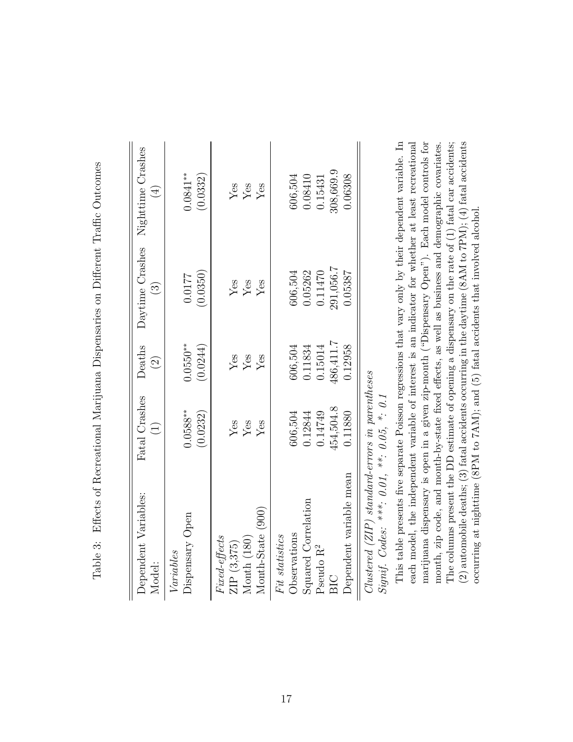| (                                                                                                                                                                                                                                                                          |
|----------------------------------------------------------------------------------------------------------------------------------------------------------------------------------------------------------------------------------------------------------------------------|
| is the company of the company of the company of the company of the company of the company of the company of the company of the company of the company of the company of the company of the company of the company of the compa<br>$\frac{1}{\sqrt{2}}$<br>}<br> <br>l<br>j |
| こうしょう こんこう<br>؟<br>أ<br>ן<br>נו                                                                                                                                                                                                                                            |
| ここ こうこう こうこうこうこうこう                                                                                                                                                                                                                                                         |
| ł<br>ĺ<br>ļ                                                                                                                                                                                                                                                                |
| )<br>}<br>}<br> <br> <br> <br>֚֚֬                                                                                                                                                                                                                                          |
|                                                                                                                                                                                                                                                                            |
| ĺ<br>֘֒                                                                                                                                                                                                                                                                    |
| りょうしょう<br>i<br>I                                                                                                                                                                                                                                                           |
| ;<br>r<br>E<br>I<br>j                                                                                                                                                                                                                                                      |

| Dependent Variables:<br>Model:                                                                                   | Fatal Crashes<br>$\widehat{\Xi}$                      | Deaths<br>$\widehat{\Omega}$                          | $\widehat{\mathbb{C}}$                                | Daytime Crashes Nighttime Crashes<br>$(\pm)$          |
|------------------------------------------------------------------------------------------------------------------|-------------------------------------------------------|-------------------------------------------------------|-------------------------------------------------------|-------------------------------------------------------|
| Dispensary Open<br>Variables                                                                                     | $0.0588***$<br>(0.0232)                               | $0.0550**$<br>(0.0244)                                | (0.0350)<br>0.0177                                    | $0.0841***$<br>(0.0332)                               |
| Month-State (900)<br><i>Fuxed-effects</i><br>$M$ onth $(180)$<br>ZIP (3,375)                                     | $_{\rm Yes}^{\rm Yes}$<br>$Y$ es                      | $Y_{CS}$<br>Yes                                       | $\frac{\text{Yes}}{\text{Yes}}$<br>Yes                | Yes<br>Yes<br>Yes                                     |
| Dependent variable mean<br>Squared Correlation<br>Observations<br>Fit statistics<br>Pseudo R <sup>2</sup><br>BIC | 454,504.8<br>0.14749<br>606,504<br>0.12844<br>0.11880 | 186,411.7<br>0.15014<br>0.11834<br>606,504<br>0.12958 | 291,056.7<br>0.05262<br>0.11470<br>606,504<br>0.05387 | 808,669.9<br>0.08410<br>606,504<br>0.06308<br>0.15431 |
| $Clustered$ ( $ZIP$ ) standard-errors in parentheses                                                             |                                                       |                                                       |                                                       |                                                       |

<span id="page-17-0"></span>Clustered (ZIP) standard-errors in parentheses Signif. Codes: \*\*\*.  $0.01$ , \*\*.  $0.05$ , \*.  $0.1$  ${\it Signif.~Codes:~***.~0.01,~**.~0.05,~*.~0.1}$  This table presents five separate Poisson regressions that vary only by their dependent variable. In (2) automobile deaths; (3) fatal accidents occurring in the daytime (8AM to  $\text{TPM}$ ); (4) fatal accidents each model, the independent variable of interest is an indicator for whether at least recreational marijuana dispensary is open in a given zip-month ("Dispensary Open"). Each model controls for The columns present the DD estimate of opening a dispensary on the rate of (1) fatal car accidents; month, zip code, and month-by-state fixed effects, as well as business and demographic covariates. This table presents five separate Poisson regressions that vary only by their dependent variable. In each model, the independent variable of interest is an indicator for whether at least recreational marijuana dispensary is open in a given zip-month ("Dispensary Open"). Each model controls for month, zip code, and month-by-state fixed effects, as well as business and demographic covariates. The columns present the DD estimate of opening a dispensary on the rate of (1) fatal car accidents; (2) automobile deaths; (3) fatal accidents occurring in the daytime (8AM to 7PM); (4) fatal accidents occurring at nighttime (8PM to  $7AM$ ); and (5) fatal accidents that involved alcohol. occurring at nighttime (8PM to 7AM); and (5) fatal accidents that involved alcohol.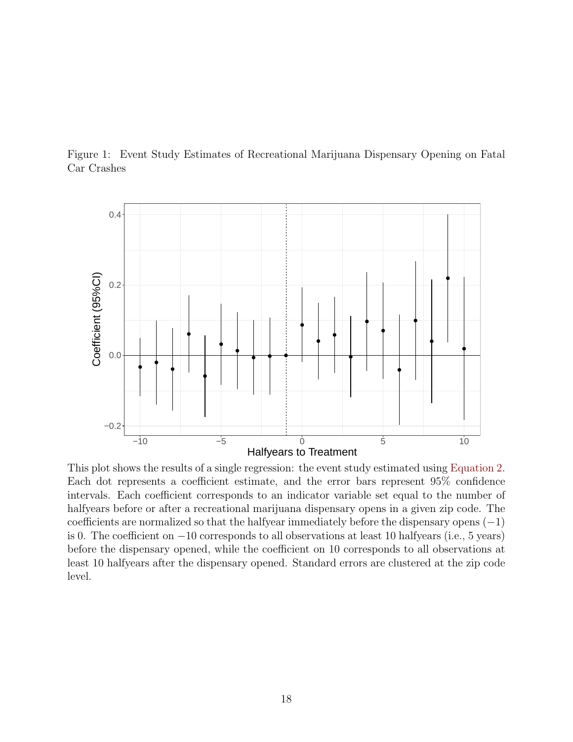<span id="page-18-0"></span>Figure 1: Event Study Estimates of Recreational Marijuana Dispensary Opening on Fatal Car Crashes



This plot shows the results of a single regression: the event study estimated using [Equation 2.](#page-8-1) Each dot represents a coefficient estimate, and the error bars represent 95% confidence intervals. Each coefficient corresponds to an indicator variable set equal to the number of halfyears before or after a recreational marijuana dispensary opens in a given zip code. The coefficients are normalized so that the halfyear immediately before the dispensary opens (−1) is 0. The coefficient on −10 corresponds to all observations at least 10 halfyears (i.e., 5 years) before the dispensary opened, while the coefficient on 10 corresponds to all observations at least 10 halfyears after the dispensary opened. Standard errors are clustered at the zip code level.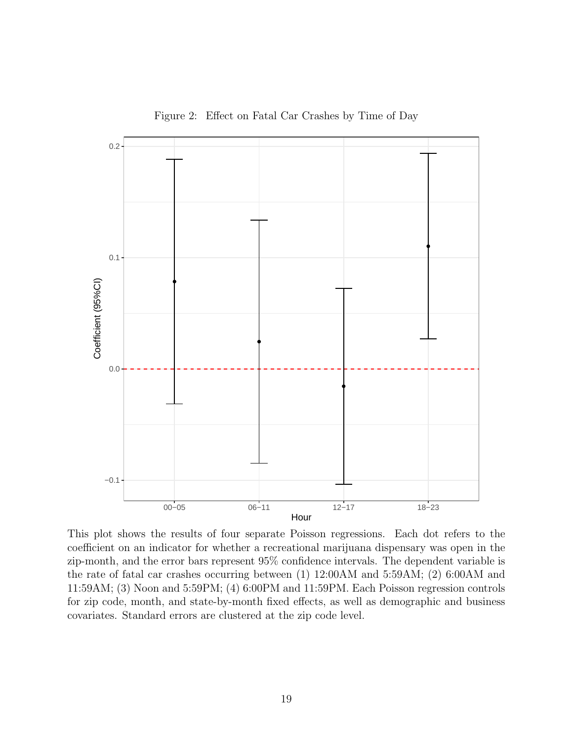<span id="page-19-0"></span>

Figure 2: Effect on Fatal Car Crashes by Time of Day

This plot shows the results of four separate Poisson regressions. Each dot refers to the coefficient on an indicator for whether a recreational marijuana dispensary was open in the zip-month, and the error bars represent 95% confidence intervals. The dependent variable is the rate of fatal car crashes occurring between (1) 12:00AM and 5:59AM; (2) 6:00AM and 11:59AM; (3) Noon and 5:59PM; (4) 6:00PM and 11:59PM. Each Poisson regression controls for zip code, month, and state-by-month fixed effects, as well as demographic and business covariates. Standard errors are clustered at the zip code level.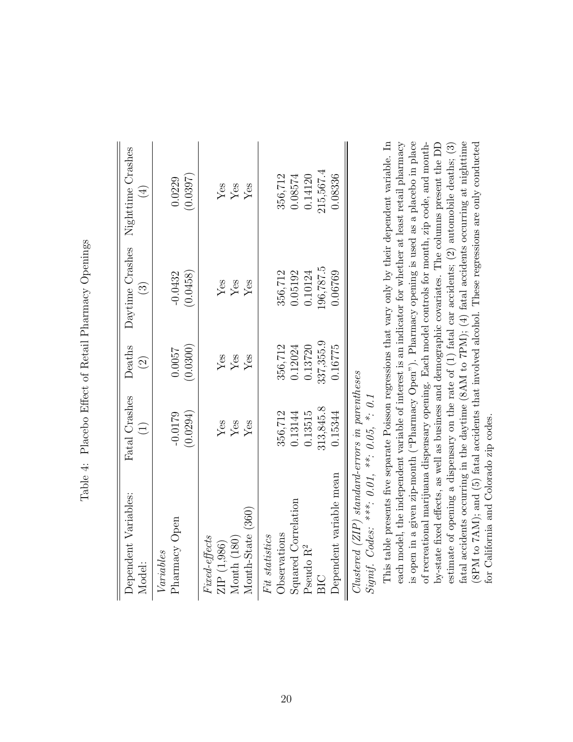<span id="page-20-0"></span>

| Dependent Variables:<br>Model:                                                                                                                                       | Fatal Crashes<br>$\widehat{\Xi}$                      | Deaths<br>$\widehat{\Omega}$                           | $\widehat{\mathbb{C}}$                               | Daytime Crashes Nighttime Crashes<br>$(\pm)$          |
|----------------------------------------------------------------------------------------------------------------------------------------------------------------------|-------------------------------------------------------|--------------------------------------------------------|------------------------------------------------------|-------------------------------------------------------|
| Pharmacy Open<br>Variables                                                                                                                                           | $-0.0179$<br>(0.0294)                                 | (0.0300)<br>0.0057                                     | $-0.0432$<br>(0.0458)                                | (0.0397)<br>0.0229                                    |
| Month-State (360)<br>Fured-effects<br>Month (180)<br>ZIP (1,986)                                                                                                     | $_{\rm Yes}^{\rm Yes}$<br>Yes                         | $_{\rm Yes}^{\rm Yes}$<br>Yes                          | $_{\rm Yes}^{\rm Yes}$<br>Yes                        | Yes<br>Yes<br>Yes                                     |
| $Clustered$ (ZIP) standard-errors in parentheses<br>Dependent variable mean<br>Squared Correlation<br>Observations<br>Fit statistics<br>Pseudo R <sup>2</sup><br>BIC | 313,845.8<br>356,712<br>0.13515<br>0.13144<br>0.15344 | 337, 355.9<br>0.13720<br>356,712<br>0.12024<br>0.16775 | .96,787.5<br>356,712<br>0.05192<br>0.10124<br>06769. | 215,567.4<br>356,712<br>0.08336<br>0.08574<br>0.14120 |
|                                                                                                                                                                      |                                                       |                                                        |                                                      |                                                       |

Table 4: Placebo Effect of Retail Pharmacy Openings Table 4: Placebo Effect of Retail Pharmacy Openings

Signif. Codes: \*\*\*. 0.01, \*\*. 0.05, \*. 0.1  ${\it Signif.~Codes:~***.~0.01,~***.~0.05,~*.~0.1}$ 

This table presents five separate Poisson regressions that vary only by their dependent variable. In is open in a given zip-month ("Pharmacy Open"). Pharmacy opening is used as a placebo in place fatal accidents occurring in the daytime  $(8AM \text{ to } TPM)$ ;  $(4)$  fatal accidents occurring at nighttime each model, the independent variable of interest is an indicator for whether at least retail pharmacy of recreational marijuana dispensary opening. Each model controls for month, zip code, and monthby-state fixed effects, as well as business and demographic covariates. The columns present the DD estimate of opening a dispensary on the rate of  $(1)$  fatal car accidents;  $(2)$  automobile deaths;  $(3)$ (SPM to 7AM); and (5) fatal accidents that involved alcohol. These regressions are only conducted This table presents five separate Poisson regressions that vary only by their dependent variable. In each model, the independent variable of interest is an indicator for whether at least retail pharmacy is open in a given zip-month ("Pharmacy Open"). Pharmacy opening is used as a placebo in place of recreational marijuana dispensary opening. Each model controls for month, zip code, and monthby-state fixed effects, as well as business and demographic covariates. The columns present the DD estimate of opening a dispensary on the rate of (1) fatal car accidents; (2) automobile deaths; (3) fatal accidents occurring in the daytime (8AM to 7PM); (4) fatal accidents occurring at nighttime (8PM to 7AM); and (5) fatal accidents that involved alcohol. These regressions are only conducted for California and Colorado zip codes. for California and Colorado zip codes.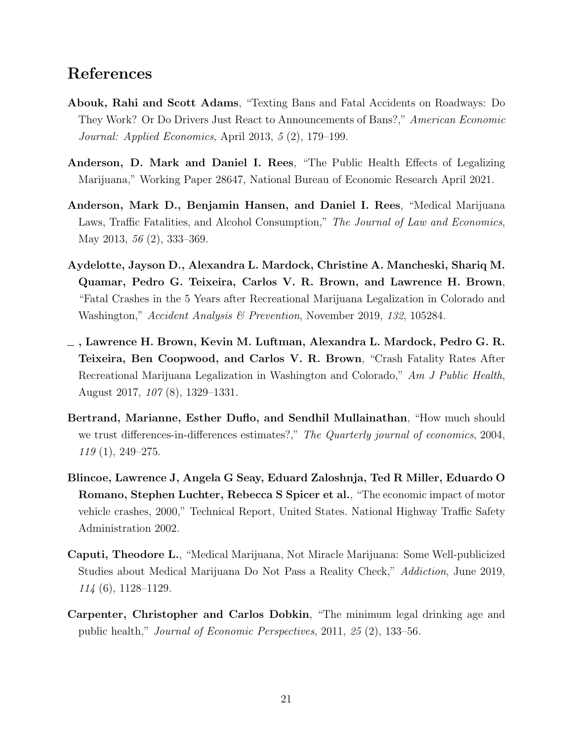### References

- <span id="page-21-3"></span>Abouk, Rahi and Scott Adams, "Texting Bans and Fatal Accidents on Roadways: Do They Work? Or Do Drivers Just React to Announcements of Bans?," American Economic Journal: Applied Economics, April 2013, 5 (2), 179–199.
- <span id="page-21-4"></span>Anderson, D. Mark and Daniel I. Rees, "The Public Health Effects of Legalizing Marijuana," Working Paper 28647, National Bureau of Economic Research April 2021.
- <span id="page-21-5"></span>Anderson, Mark D., Benjamin Hansen, and Daniel I. Rees, "Medical Marijuana Laws, Traffic Fatalities, and Alcohol Consumption," The Journal of Law and Economics, May 2013, 56 (2), 333–369.
- <span id="page-21-7"></span>Aydelotte, Jayson D., Alexandra L. Mardock, Christine A. Mancheski, Shariq M. Quamar, Pedro G. Teixeira, Carlos V. R. Brown, and Lawrence H. Brown, "Fatal Crashes in the 5 Years after Recreational Marijuana Legalization in Colorado and Washington," Accident Analysis & Prevention, November 2019, 132, 105284.
- <span id="page-21-6"></span> $\_$  , Lawrence H. Brown, Kevin M. Luftman, Alexandra L. Mardock, Pedro G. R. Teixeira, Ben Coopwood, and Carlos V. R. Brown, "Crash Fatality Rates After Recreational Marijuana Legalization in Washington and Colorado," Am J Public Health, August 2017, 107 (8), 1329–1331.
- <span id="page-21-8"></span>Bertrand, Marianne, Esther Duflo, and Sendhil Mullainathan, "How much should we trust differences-in-differences estimates?," The Quarterly journal of economics, 2004, 119 (1), 249–275.
- <span id="page-21-1"></span>Blincoe, Lawrence J, Angela G Seay, Eduard Zaloshnja, Ted R Miller, Eduardo O Romano, Stephen Luchter, Rebecca S Spicer et al., "The economic impact of motor vehicle crashes, 2000," Technical Report, United States. National Highway Traffic Safety Administration 2002.
- <span id="page-21-0"></span>Caputi, Theodore L., "Medical Marijuana, Not Miracle Marijuana: Some Well-publicized Studies about Medical Marijuana Do Not Pass a Reality Check," Addiction, June 2019, 114 (6), 1128–1129.
- <span id="page-21-2"></span>Carpenter, Christopher and Carlos Dobkin, "The minimum legal drinking age and public health," Journal of Economic Perspectives, 2011, 25 (2), 133–56.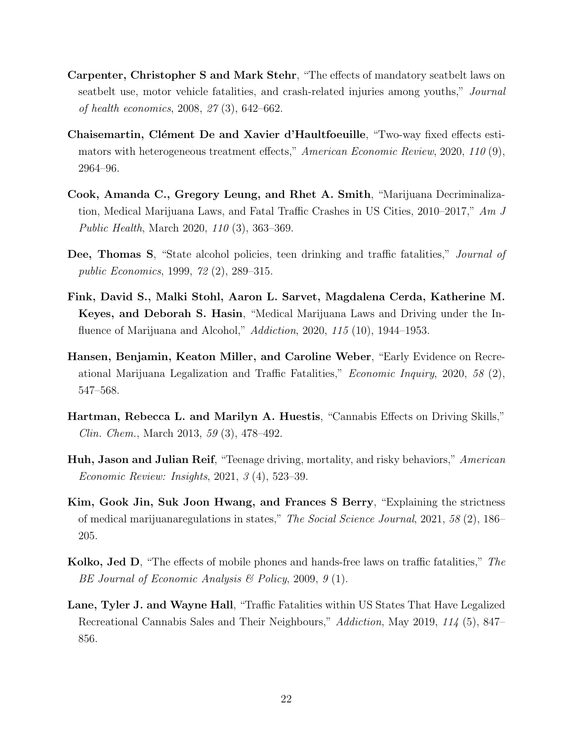- <span id="page-22-9"></span>Carpenter, Christopher S and Mark Stehr, "The effects of mandatory seatbelt laws on seatbelt use, motor vehicle fatalities, and crash-related injuries among youths," Journal of health economics, 2008, 27 (3), 642–662.
- <span id="page-22-8"></span>Chaisemartin, Clément De and Xavier d'Haultfoeuille, "Two-way fixed effects estimators with heterogeneous treatment effects," American Economic Review, 2020, 110 (9), 2964–96.
- <span id="page-22-5"></span>Cook, Amanda C., Gregory Leung, and Rhet A. Smith, "Marijuana Decriminalization, Medical Marijuana Laws, and Fatal Traffic Crashes in US Cities, 2010–2017," Am J Public Health, March 2020, 110 (3), 363–369.
- <span id="page-22-10"></span>Dee, Thomas S, "State alcohol policies, teen drinking and traffic fatalities," Journal of public Economics, 1999, 72 (2), 289–315.
- <span id="page-22-6"></span>Fink, David S., Malki Stohl, Aaron L. Sarvet, Magdalena Cerda, Katherine M. Keyes, and Deborah S. Hasin, "Medical Marijuana Laws and Driving under the Influence of Marijuana and Alcohol," *Addiction*, 2020, 115 (10), 1944–1953.
- <span id="page-22-1"></span>Hansen, Benjamin, Keaton Miller, and Caroline Weber, "Early Evidence on Recreational Marijuana Legalization and Traffic Fatalities," Economic Inquiry, 2020, 58 (2), 547–568.
- <span id="page-22-0"></span>Hartman, Rebecca L. and Marilyn A. Huestis, "Cannabis Effects on Driving Skills," Clin. Chem., March 2013, 59 (3), 478–492.
- <span id="page-22-2"></span>Huh, Jason and Julian Reif, "Teenage driving, mortality, and risky behaviors," American Economic Review: Insights, 2021, 3 (4), 523–39.
- <span id="page-22-4"></span>Kim, Gook Jin, Suk Joon Hwang, and Frances S Berry, "Explaining the strictness of medical marijuanaregulations in states," The Social Science Journal, 2021, 58 (2), 186– 205.
- <span id="page-22-3"></span>Kolko, Jed D, "The effects of mobile phones and hands-free laws on traffic fatalities," The BE Journal of Economic Analysis & Policy, 2009, 9 (1).
- <span id="page-22-7"></span>Lane, Tyler J. and Wayne Hall, "Traffic Fatalities within US States That Have Legalized Recreational Cannabis Sales and Their Neighbours," Addiction, May 2019, 114 (5), 847– 856.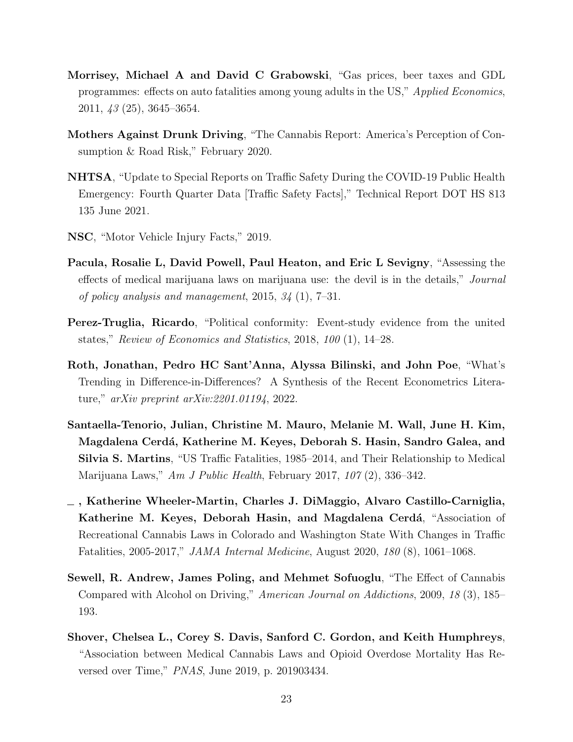- <span id="page-23-10"></span>Morrisey, Michael A and David C Grabowski, "Gas prices, beer taxes and GDL programmes: effects on auto fatalities among young adults in the US," Applied Economics, 2011, 43 (25), 3645–3654.
- <span id="page-23-0"></span>Mothers Against Drunk Driving, "The Cannabis Report: America's Perception of Consumption & Road Risk," February 2020.
- <span id="page-23-2"></span>NHTSA, "Update to Special Reports on Traffic Safety During the COVID-19 Public Health Emergency: Fourth Quarter Data [Traffic Safety Facts]," Technical Report DOT HS 813 135 June 2021.
- <span id="page-23-4"></span>NSC, "Motor Vehicle Injury Facts," 2019.
- <span id="page-23-5"></span>Pacula, Rosalie L, David Powell, Paul Heaton, and Eric L Sevigny, "Assessing the effects of medical marijuana laws on marijuana use: the devil is in the details," Journal of policy analysis and management, 2015, 34 (1), 7–31.
- <span id="page-23-8"></span>Perez-Truglia, Ricardo, "Political conformity: Event-study evidence from the united states," Review of Economics and Statistics, 2018, 100 (1), 14–28.
- <span id="page-23-9"></span>Roth, Jonathan, Pedro HC Sant'Anna, Alyssa Bilinski, and John Poe, "What's Trending in Difference-in-Differences? A Synthesis of the Recent Econometrics Literature," arXiv preprint arXiv:2201.01194, 2022.
- <span id="page-23-6"></span>Santaella-Tenorio, Julian, Christine M. Mauro, Melanie M. Wall, June H. Kim, Magdalena Cerdá, Katherine M. Keyes, Deborah S. Hasin, Sandro Galea, and Silvia S. Martins, "US Traffic Fatalities, 1985–2014, and Their Relationship to Medical Marijuana Laws," Am J Public Health, February 2017, 107 (2), 336–342.
- <span id="page-23-7"></span>, Katherine Wheeler-Martin, Charles J. DiMaggio, Alvaro Castillo-Carniglia, Katherine M. Keyes, Deborah Hasin, and Magdalena Cerdá, "Association of Recreational Cannabis Laws in Colorado and Washington State With Changes in Traffic Fatalities, 2005-2017," JAMA Internal Medicine, August 2020, 180 (8), 1061–1068.
- <span id="page-23-1"></span>Sewell, R. Andrew, James Poling, and Mehmet Sofuoglu, "The Effect of Cannabis Compared with Alcohol on Driving," American Journal on Addictions, 2009, 18 (3), 185– 193.
- <span id="page-23-3"></span>Shover, Chelsea L., Corey S. Davis, Sanford C. Gordon, and Keith Humphreys, "Association between Medical Cannabis Laws and Opioid Overdose Mortality Has Reversed over Time," PNAS, June 2019, p. 201903434.